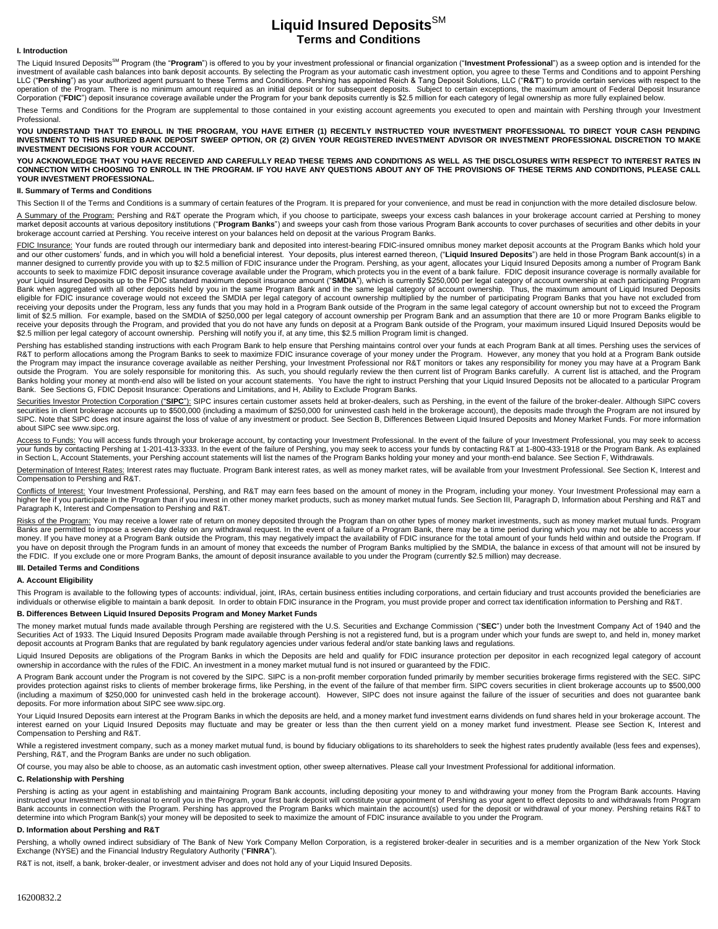# Liquid Insured Deposits<sup>SM</sup> **Terms and Conditions**

#### **I. Introduction**

The Liquid Insured Deposits<sup>SM</sup> Program (the "**Program**") is offered to you by your investment professional or financial organization ("Investment Professional") as a sweep option and is intended for the investment of available cash balances into bank deposit accounts. By selecting the Program as your automatic cash investment option, you agree to these Terms and Conditions and to appoint Pershing LLC ("**Pershing**") as your authorized agent pursuant to these Terms and Conditions. Pershing has appointed Reich & Tang Deposit Solutions, LLC ("**R&T**") to provide certain services with respect to the operation of the Program. There is no minimum amount required as an initial deposit or for subsequent deposits. Subject to certain exceptions, the maximum amount of Federal Deposit Insurance Corporation ("**FDIC**") deposit insurance coverage available under the Program for your bank deposits currently is \$2.5 million for each category of legal ownership as more fully explained below.

These Terms and Conditions for the Program are supplemental to those contained in your existing account agreements you executed to open and maintain with Pershing through your Investment Professional.

YOU UNDERSTAND THAT TO ENROLL IN THE PROGRAM, YOU HAVE EITHER (1) RECENTLY INSTRUCTED YOUR INVESTMENT PROFESSIONAL TO DIRECT YOUR CASH PENDING<br>INVESTMENT TO THIS INSURED BANK DEPOSIT SWEEP OPTION, OR (2) GIVEN YOUR REGISTE **INVESTMENT DECISIONS FOR YOUR ACCOUNT.**

**YOU ACKNOWLEDGE THAT YOU HAVE RECEIVED AND CAREFULLY READ THESE TERMS AND CONDITIONS AS WELL AS THE DISCLOSURES WITH RESPECT TO INTEREST RATES IN CONNECTION WITH CHOOSING TO ENROLL IN THE PROGRAM. IF YOU HAVE ANY QUESTIONS ABOUT ANY OF THE PROVISIONS OF THESE TERMS AND CONDITIONS, PLEASE CALL YOUR INVESTMENT PROFESSIONAL.**

## **II. Summary of Terms and Conditions**

This Section II of the Terms and Conditions is a summary of certain features of the Program. It is prepared for your convenience, and must be read in conjunction with the more detailed disclosure below.

A Summary of the Program: Pershing and R&T operate the Program which, if you choose to participate, sweeps your excess cash balances in your brokerage account carried at Pershing to money market deposit accounts at various depository institutions ("**Program Banks**") and sweeps your cash from those various Program Bank accounts to cover purchases of securities and other debits in your brokerage account carried at Pershing. You receive interest on your balances held on deposit at the various Program Banks.

FDIC Insurance: Your funds are routed through our intermediary bank and deposited into interest-bearing FDIC-insured omnibus money market deposit accounts at the Program Banks which hold your and our other customers' funds, and in which you will hold a beneficial interest. Your deposits, plus interest earned thereon, ("**Liquid Insured Deposits**") are held in those Program Bank account(s) in a manner designed to currently provide you with up to \$2.5 million of FDIC insurance under the Program. Pershing, as your agent, allocates your Liquid Insured Deposits among a number of Program Bank accounts to seek to maximize FDIC deposit insurance coverage available under the Program, which protects you in the event of a bank failure. FDIC deposit insurance coverage is normally available for your Liquid Insured Deposits up to the FDIC standard maximum deposit insurance amount ("SMDIA"), which is currently \$250,000 per legal category of account ownership at each participating Program<br>Bank when aggregated with a eligible for FDIC insurance coverage would not exceed the SMDIA per legal category of account ownership multiplied by the number of participating Program Banks that you have not excluded from receiving your deposits under the Program, less any funds that you may hold in a Program Bank outside of the Program in the same legal category of account ownership but not to exceed the Program limit of \$2.5 million. For example, based on the SMDIA of \$250,000 per legal category of account ownership per Program Bank and an assumption that there are 10 or more Program Banks eligible to receive your deposits through the Program, and provided that you do not have any funds on deposit at a Program Bank outside of the Program, your maximum insured Liquid Insured Deposits would be \$2.5 million per legal category of account ownership. Pershing will notify you if, at any time, this \$2.5 million Program limit is changed.

Pershing has established standing instructions with each Program Bank to help ensure that Pershing maintains control over your funds at each Program Bank at all times. Pershing uses the services of R&T to perform allocations among the Program Banks to seek to maximize FDIC insurance coverage of your money under the Program. However, any money that you hold at a Program Bank outside<br>the Program may impact the insuranc outside the Program. You are solely responsible for monitoring this. As such, you should regularly review the then current list of Program Banks carefully. A current list is attached, and the Program Banks holding your money at month-end also will be listed on your account statements. You have the right to instruct Pershing that your Liquid Insured Deposits not be allocated to a particular Program Bank. See Sections G, FDIC Deposit Insurance: Operations and Limitations, and H, Ability to Exclude Program Banks.

Securities Investor Protection Corporation ("SIPC"): SIPC insures certain customer assets held at broker-dealers, such as Pershing, in the event of the failure of the broker-dealer. Although SIPC covers securities in client brokerage accounts up to \$500,000 (including a maximum of \$250,000 for uninvested cash held in the brokerage account), the deposits made through the Program are not insured by SIPC. Note that SIPC does not insure against the loss of value of any investment or product. See Section B, Differences Between Liquid Insured Deposits and Money Market Funds. For more information about SIPC see www.sipc.org.

<u>Access to Funds:</u> You will access funds through your brokerage account, by contacting your Investment Professional. In the event of the failure of your Investment Professional, you may seek to access<br>your funds by contact in Section L, Account Statements, your Pershing account statements will list the names of the Program Banks holding your money and your month-end balance. See Section F, Withdrawals.

Determination of Interest Rates: Interest rates may fluctuate. Program Bank interest rates, as well as money market rates, will be available from your Investment Professional. See Section K, Interest and Compensation to Pershing and R&T.

Conflicts of Interest: Your Investment Professional, Pershing, and R&T may earn fees based on the amount of money in the Program, including your money. Your Investment Professional may earn a<br>higher fee if you participate Paragraph K, Interest and Compensation to Pershing and R&T.

Risks of the Program: You may receive a lower rate of return on money deposited through the Program than on other types of money market investments, such as money market mutual funds. Program Banks are permitted to impose a seven-day delay on any withdrawal request. In the event of a failure of a Program Bank, there may be a time period during which you may not be able to access your money. If you have money at a Program Bank outside the Program, this may negatively impact the availability of FDIC insurance for the total amount of your funds held within and outside the Program. If you have on deposit through the Program funds in an amount of money that exceeds the number of Program Banks multiplied by the SMDIA, the balance in excess of that amount will not be insured by the FDIC. If you exclude one or more Program Banks, the amount of deposit insurance available to you under the Program (currently \$2.5 million) may decrease.

### **III. Detailed Terms and Conditions**

#### **A. Account Eligibility**

This Program is available to the following types of accounts: individual, joint, IRAs, certain business entities including corporations, and certain fiduciary and trust accounts provided the beneficiaries are individuals or otherwise eligible to maintain a bank deposit. In order to obtain FDIC insurance in the Program, you must provide proper and correct tax identification information to Pershing and R&T.

#### **B. Differences Between Liquid Insured Deposits Program and Money Market Funds**

The money market mutual funds made available through Pershing are registered with the U.S. Securities and Exchange Commission ("**SEC**") under both the Investment Company Act of 1940 and the Securities Act of 1933. The Liquid Insured Deposits Program made available through Pershing is not a registered fund, but is a program under which your funds are swept to, and held in, money market deposit accounts at Program Banks that are regulated by bank regulatory agencies under various federal and/or state banking laws and regulations.

Liquid Insured Deposits are obligations of the Program Banks in which the Deposits are held and qualify for FDIC insurance protection per depositor in each recognized legal category of account ownership in accordance with the rules of the FDIC. An investment in a money market mutual fund is not insured or guaranteed by the FDIC.

A Program Bank account under the Program is not covered by the SIPC. SIPC is a non-profit member corporation funded primarily by member securities brokerage firms registered with the SEC. SIPC provides protection against risks to clients of member brokerage firms, like Pershing, in the event of the failure of that member firm. SIPC covers securities in client brokerage accounts up to \$500,000 (including a maximum of \$250,000 for uninvested cash held in the brokerage account). However, SIPC does not insure against the failure of the issuer of securities and does not guarantee bank deposits. For more information about SIPC see www.sipc.org.

Your Liquid Insured Deposits earn interest at the Program Banks in which the deposits are held, and a money market fund investment earns dividends on fund shares held in your brokerage account. The interest earned on your Liquid Insured Deposits may fluctuate and may be greater or less than the then current yield on a money market fund investment. Please see Section K, Interest and Compensation to Pershing and R&T.

While a registered investment company, such as a money market mutual fund, is bound by fiduciary obligations to its shareholders to seek the highest rates prudently available (less fees and expenses), Pershing, R&T, and the Program Banks are under no such obligation.

Of course, you may also be able to choose, as an automatic cash investment option, other sweep alternatives. Please call your Investment Professional for additional information.

### **C. Relationship with Pershing**

Pershing is acting as your agent in establishing and maintaining Program Bank accounts, including depositing your money to and withdrawing your money from the Program Bank accounts. Having<br>instructed your Investment Profes

### **D. Information about Pershing and R&T**

Pershing, a wholly owned indirect subsidiary of The Bank of New York Company Mellon Corporation, is a registered broker-dealer in securities and is a member organization of the New York Stock Exchange (NYSE) and the Financial Industry Regulatory Authority ("**FINRA**").

R&T is not, itself, a bank, broker-dealer, or investment adviser and does not hold any of your Liquid Insured Deposits.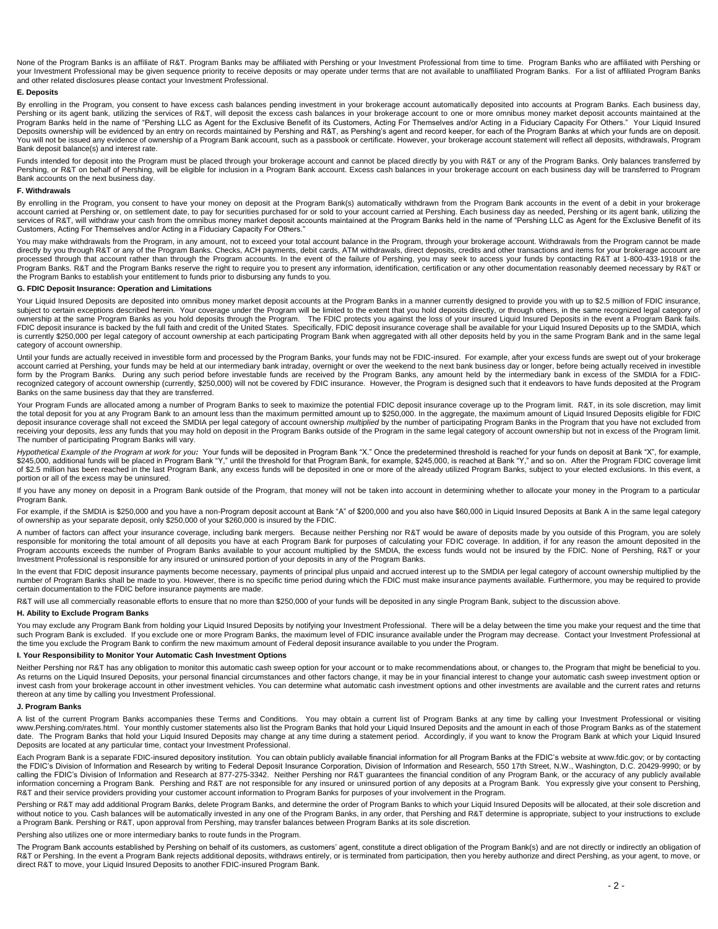None of the Program Banks is an affiliate of R&T. Program Banks may be affiliated with Pershing or your Investment Professional from time to time. Program Banks who are affiliated with Pershing or your Investment Professional may be given sequence priority to receive deposits or may operate under terms that are not available to unaffiliated Program Banks. For a list of affiliated Program Banks and other related disclosures please contact your Investment Professional.

### **E. Deposits**

By enrolling in the Program, you consent to have excess cash balances pending investment in your brokerage account automatically deposited into accounts at Program Banks. Each business day, Pershing or its agent bank, utilizing the services of R&T, will deposit the excess cash balances in your brokerage account to one or more omnibus money market deposit accounts maintained at the Program Banks held in the name of "Pershing LLC as Agent for the Exclusive Benefit of its Customers, Acting For Themselves and/or Acting in a Fiduciary Capacity For Others." Your Liquid Insured Deposits ownership will be evidenced by an entry on records maintained by Pershing and R&T, as Pershing's agent and record keeper, for each of the Program Banks at which your funds are on deposit. You will not be issued any evidence of ownership of a Program Bank account, such as a passbook or certificate. However, your brokerage account statement will reflect all deposits, withdrawals, Program Bank deposit balance(s) and interest rate.

Funds intended for deposit into the Program must be placed through your brokerage account and cannot be placed directly by you with R&T or any of the Program Banks. Only balances transferred by Pershing, or R&T on behalf of Pershing, will be eligible for inclusion in a Program Bank account. Excess cash balances in your brokerage account on each business day will be transferred to Program Bank accounts on the next business day.

### **F. Withdrawals**

By enrolling in the Program, you consent to have your money on deposit at the Program Bank(s) automatically withdrawn from the Program Bank accounts in the event of a debit in your brokerage account carried at Pershing or, on settlement date, to pay for securities purchased for or sold to your account carried at Pershing. Each business day as needed, Pershing or its agent bank, utilizing the<br>services of R&T, w Customers, Acting For Themselves and/or Acting in a Fiduciary Capacity For Others."

You may make withdrawals from the Program, in any amount, not to exceed your total account balance in the Program, through your brokerage account. Withdrawals from the Program cannot be made directly by you through R&T or any of the Program Banks. Checks, ACH payments, debit cards, ATM withdrawals, direct deposits, credits and other transactions and items for your brokerage account are processed through that account rather than through the Program accounts. In the event of the failure of Pershing, you may seek to access your funds by contacting R&T at 1-800-433-1918 or the Program Banks. R&T and the Program Banks reserve the right to require you to present any information, identification, certification or any other documentation reasonably deemed necessary by R&T or the Program Banks to establish your entitlement to funds prior to disbursing any funds to you.

### **G. FDIC Deposit Insurance: Operation and Limitations**

Your Liquid Insured Deposits are deposited into omnibus money market deposit accounts at the Program Banks in a manner currently designed to provide you with up to \$2.5 million of FDIC insurance,<br>subject to certain excepti ownership at the same Program Banks as you hold deposits through the Program. The FDIC protects you against the loss of your insured Liquid Insured Deposits in the event a Program Bank fails. FDIC deposit insurance is backed by the full faith and credit of the United States. Specifically, FDIC deposit insurance coverage shall be available for your Liquid Insured Deposits up to the SMDIA, which is currently \$250,000 per legal category of account ownership at each participating Program Bank when aggregated with all other deposits held by you in the same Program Bank and in the same Program Bank and in the same leg category of account ownership.

Until your funds are actually received in investible form and processed by the Program Banks, your funds may not be FDIC-insured. For example, after your excess funds are swept out of your brokerage<br>account carried at Pers form by the Program Banks. During any such period before investable funds are received by the Program Banks, any amount held by the intermediary bank in excess of the SMDIA for a FDICrecognized category of account ownership (currently, \$250,000) will not be covered by FDIC insurance. However, the Program is designed such that it endeavors to have funds deposited at the Program Banks on the same business day that they are transferred.

Your Program Funds are allocated among a number of Program Banks to seek to maximize the potential FDIC deposit insurance coverage up to the Program limit. R&T, in its sole discretion, may limit the total deposit for you at any Program Bank to an amount less than the maximum permitted amount up to \$250,000. In the aggregate, the maximum amount of Liquid Insured Deposits eligible for FDIC deposit insurance coverage shall not exceed the SMDIA per legal category of account ownership *multiplied* by the number of participating Program Banks in the Program that you have not excluded from<br>receiving your deposits The number of participating Program Banks will vary.

Hypothetical Example of the Program at work for you<sup>2</sup> Your funds will be deposited in Program Bank "X." Once the predetermined threshold is reached for your funds on deposit at Bank "X", for example, \$245,000, additional funds will be placed in Program Bank "Y," until the threshold for that Program Bank, for example, \$245,000, is reached at Bank "Y," and so on. After the Program FDIC coverage limit of \$2.5 million has been reached in the last Program Bank, any excess funds will be deposited in one or more of the already utilized Program Banks, subject to your elected exclusions. In this event, a portion or all of the excess may be uninsured.

If you have any money on deposit in a Program Bank outside of the Program, that money will not be taken into account in determining whether to allocate your money in the Program to a particular Program Bank.

For example, if the SMDIA is \$250,000 and you have a non-Program deposit account at Bank "A" of \$200,000 and you also have \$60,000 in Liquid Insured Deposits at Bank A in the same legal category of ownership as your separate deposit, only \$250,000 of your \$260,000 is insured by the FDIC.

A number of factors can affect your insurance coverage, including bank mergers. Because neither Pershing nor R&T would be aware of deposits made by you outside of this Program, you are solely responsible for monitoring the total amount of all deposits you have at each Program Bank for purposes of calculating your FDIC coverage. In addition, if for any reason the amount deposited in the Program accounts exceeds the number of Program Banks available to your account multiplied by the SMDIA, the excess funds would not be insured by the FDIC. None of Pershing, R&T or your Investment Professional is responsible for any insured or uninsured portion of your deposits in any of the Program Banks.

In the event that FDIC deposit insurance payments become necessary, payments of principal plus unpaid and accrued interest up to the SMDIA per legal category of account ownership multiplied by the number of Program Banks shall be made to you. However, there is no specific time period during which the FDIC must make insurance payments available. Furthermore, you may be required to provide certain documentation to the FDIC before insurance payments are made.

R&T will use all commercially reasonable efforts to ensure that no more than \$250,000 of your funds will be deposited in any single Program Bank, subject to the discussion above.

### **H. Ability to Exclude Program Banks**

You may exclude any Program Bank from holding your Liquid Insured Deposits by notifying your Investment Professional. There will be a delay between the time you make your request and the time that such Program Bank is excluded. If you exclude one or more Program Banks, the maximum level of FDIC insurance available under the Program may decrease. Contact your Investment Professional at the time you exclude the Program Bank to confirm the new maximum amount of Federal deposit insurance available to you under the Program.

### **I. Your Responsibility to Monitor Your Automatic Cash Investment Options**

Neither Pershing nor R&T has any obligation to monitor this automatic cash sweep option for your account or to make recommendations about, or changes to, the Program that might be beneficial to you. As returns on the Liquid Insured Deposits, your personal financial circumstances and other factors change, it may be in your financial interest to change your automatic cash sweep investment option or<br>invest cash from your thereon at any time by calling you Investment Professional.

### **J. Program Banks**

A list of the current Program Banks accompanies these Terms and Conditions. You may obtain a current list of Program Banks at any time by calling your Investment Professional or visiting [www.Pershing.com/r](http://www.pershing.com/)ates.html. Your monthly customer statements also list the Program Banks that hold your Liquid Insured Deposits and the amount in each of those Program Banks as of the statement date. The Program Banks that hold your Liquid Insured Deposits may change at any time during a statement period. Accordingly, if you want to know the Program Bank at which your Liquid Insured Deposits are located at any particular time, contact your Investment Professional.

Each Program Bank is a separate FDIC-insured depository institution. You can obtain publicly available financial information for all Program Banks at the FDIC's website at www.fdic.gov; or by contacting the FDIC's Division of Information and Research by writing to Federal Deposit Insurance Corporation, Division of Information and Research, 550 17th Street, N.W., Washington, D.C. 20429-9990; or by calling the FDIC's Division of Information and Research at 877-275-3342. Neither Pershing nor R&T guarantees the financial condition of any Program Bank, or the accuracy of any publicly available information concerning a Program Bank. Pershing and R&T are not responsible for any insured or uninsured portion of any deposits at a Program Bank. You expressly give your consent to Pershing, R&T and their service providers providing your customer account information to Program Banks for purposes of your involvement in the Program.

Pershing or R&T may add additional Program Banks, delete Program Banks, and determine the order of Program Banks to which your Liquid Insured Deposits will be allocated, at their sole discretion and without notice to you. Cash balances will be automatically invested in any one of the Program Banks, in any order, that Pershing and R&T determine is appropriate, subject to your instructions to exclude a Program Bank. Pershing or R&T, upon approval from Pershing, may transfer balances between Program Banks at its sole discretion.

Pershing also utilizes one or more intermediary banks to route funds in the Program.

The Program Bank accounts established by Pershing on behalf of its customers, as customers' agent, constitute a direct obligation of the Program Bank(s) and are not directly or indirectly an obligation of R&T or Pershing. In the event a Program Bank rejects additional deposits, withdraws entirely, or is terminated from participation, then you hereby authorize and direct Pershing, as your agent, to move, or direct R&T to move, your Liquid Insured Deposits to another FDIC-insured Program Bank.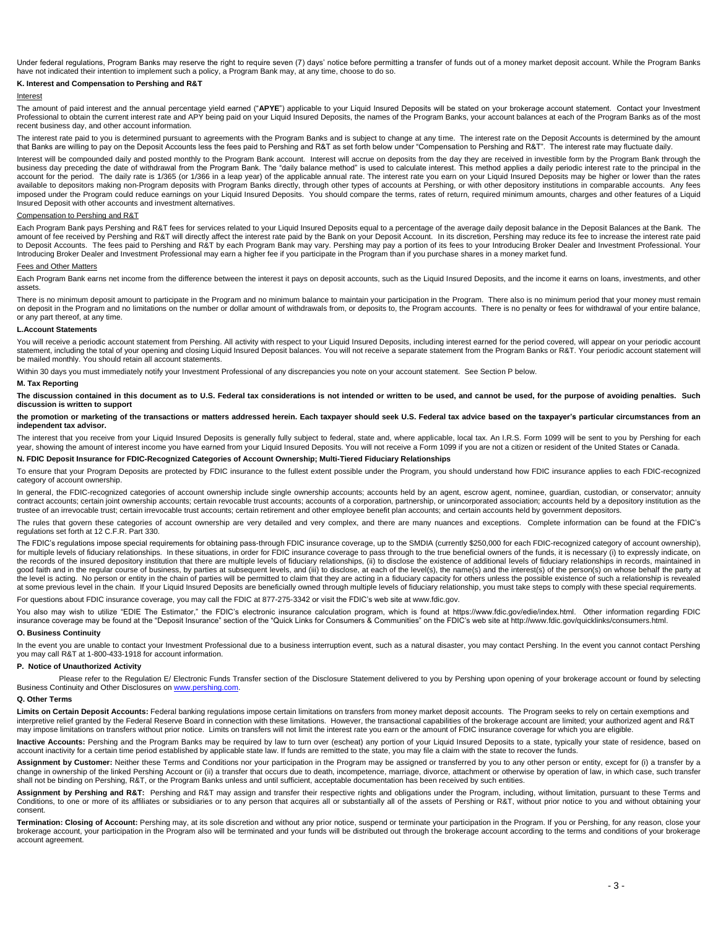Under federal regulations, Program Banks may reserve the right to require seven (7) days' notice before permitting a transfer of funds out of a money market deposit account. While the Program Banks have not indicated their intention to implement such a policy, a Program Bank may, at any time, choose to do so.

### **K. Interest and Compensation to Pershing and R&T**

### Interest

The amount of paid interest and the annual percentage yield earned ("APYE") applicable to your Liquid Insured Deposits will be stated on your brokerage account statement. Contact your Investment Professional to obtain the current interest rate and APY being paid on your Liquid Insured Deposits, the names of the Program Banks, your account balances at each of the Program Banks as of the most recent business day, and other account information.

The interest rate paid to you is determined pursuant to agreements with the Program Banks and is subject to change at any time. The interest rate on the Deposit Accounts is determined by the amount that Banks are willing to pay on the Deposit Accounts less the fees paid to Pershing and R&T as set forth below under "Compensation to Pershing and R&T". The interest rate may fluctuate daily.

Interest will be compounded daily and posted monthly to the Program Bank account. Interest will accrue on deposits from the day they are received in investible form by the Program Bank through the<br>business day preceding th account for the period. The daily rate is 1/365 (or 1/366 in a leap year) of the applicable annual rate. The interest rate you earn on your Liquid Insured Deposits may be higher or lower than the rates available to depositors making non-Program deposits with Program Banks directly, through other types of accounts at Pershing, or with other depository institutions in comparable accounts. Any fees imposed under the Program could reduce earnings on your Liquid Insured Deposits. You should compare the terms, rates of return, required minimum amounts, charges and other features of a Liquid Insured Deposit with other accounts and investment alternatives.

### Compensation to Pershing and R&T

Each Program Bank pays Pershing and R&T fees for services related to your Liquid Insured Deposits equal to a percentage of the average daily deposit balance in the Deposit Balances at the Bank. The amount of fee received by Pershing and R&T will directly affect the interest rate paid by the Bank on your Deposit Account. In its discretion, Pershing may reduce its fee to increase the interest rate paid to Deposit Accounts. The fees paid to Pershing and R&T by each Program Bank may vary. Pershing may pay a portion of its fees to your Introducing Broker Dealer and Investment Professional. Your Introducing Broker Dealer and Investment Professional may earn a higher fee if you participate in the Program than if you purchase shares in a money market fund.

#### Fees and Other Matters

Each Program Bank earns net income from the difference between the interest it pays on deposit accounts, such as the Liquid Insured Deposits, and the income it earns on loans, investments, and other assets.

There is no minimum deposit amount to participate in the Program and no minimum balance to maintain your participation in the Program. There also is no minimum period that your money must remain on deposit in the Program and no limitations on the number or dollar amount of withdrawals from, or deposits to, the Program accounts. There is no penalty or fees for withdrawal of your entire balance, or any part thereof, at any time.

### **L.Account Statements**

You will receive a periodic account statement from Pershing. All activity with respect to your Liquid Insured Deposits, including interest earned for the period covered, will appear on your periodic account statement, including the total of your opening and closing Liquid Insured Deposit balances. You will not receive a separate statement from the Program Banks or R&T. Your periodic account statement will be mailed monthly. You should retain all account statements.

Within 30 days you must immediately notify your Investment Professional of any discrepancies you note on your account statement. See Section P below.

#### **M. Tax Reporting**

The discussion contained in this document as to U.S. Federal tax considerations is not intended or written to be used, and cannot be used, for the purpose of avoiding penalties. Such **discussion is written to support** 

**the promotion or marketing of the transactions or matters addressed herein. Each taxpayer should seek U.S. Federal tax advice based on the taxpayer's particular circumstances from an independent tax advisor.** 

The interest that you receive from your Liquid Insured Deposits is generally fully subject to federal, state and, where applicable, local tax. An I.R.S. Form 1099 will be sent to you by Pershing for each year, showing the amount of interest income you have earned from your Liquid Insured Deposits. You will not receive a Form 1099 if you are not a citizen or resident of the United States or Canada.

### **N. FDIC Deposit Insurance for FDIC-Recognized Categories of Account Ownership; Multi-Tiered Fiduciary Relationships**

To ensure that your Program Deposits are protected by FDIC insurance to the fullest extent possible under the Program, you should understand how FDIC insurance applies to each FDIC-recognized category of account ownership.

In general, the FDIC-recognized categories of account ownership include single ownership accounts; accounts held by an agent, escrow agent, nominee, guardian, custodian, or conservator; annuity contract accounts; certain joint ownership accounts; certain revocable trust accounts; accounts of a corporation, partnership, or unincorporated association; accounts held by a depository institution as the trustee of an irrevocable trust; certain irrevocable trust accounts; certain retirement and other employee benefit plan accounts; and certain accounts held by government depositors.

The rules that govern these categories of account ownership are very detailed and very complex, and there are many nuances and exceptions. Complete information can be found at the FDIC's regulations set forth at 12 C.F.R. Part 330.

The FDIC's regulations impose special requirements for obtaining pass-through FDIC insurance coverage, up to the SMDIA (currently \$250,000 for each FDIC-recognized category of account ownership), for multiple levels of fiduciary relationships. In these situations, in order for FDIC insurance coverage to pass through to the true beneficial owners of the funds, it is necessary (i) to expressly indicate, on the records of the insured depository institution that there are multiple levels of fiduciary relationships, (ii) to disclose the existence of additional levels of fiduciary relationships in records, maintained in the reco good faith and in the regular course of business, by parties at subsequent levels, and (iii) to disclose, at each of the level(s), the name(s) and the interest(s) of the person(s) on whose behalf the party at the level is acting. No person or entity in the chain of parties will be permitted to claim that they are acting in a fiduciary capacity for others unless the possible existence of such a relationship is revealed at some previous level in the chain. If your Liquid Insured Deposits are beneficially owned through multiple levels of fiduciary relationship, you must take steps to comply with these special requirements.

For questions about FDIC insurance coverage, you may call the FDIC at 877-275-3342 or visit the FDIC's web site a[t www.fdic.gov.](http://www.fdic.gov/) 

You also may wish to utilize "EDIE The Estimator," the FDIC's electronic insurance calculation program, which is found at https://www.fdic.gov/edie/index.html. Other information regarding FDIC insurance coverage may be found at the "Deposit Insurance" section of the "Quick Links for Consumers & Communities" on the FDIC's web site a[t http://www.fdic.gov/quicklinks/consumers.html.](http://www.fdic.gov/quicklinks/consumers.html)

### **O. Business Continuity**

In the event you are unable to contact your Investment Professional due to a business interruption event, such as a natural disaster, you may contact Pershing. In the event you cannot contact Pershing<br>you may call R&T at 1

### **P. Notice of Unauthorized Activity**

Please refer to the Regulation E/ Electronic Funds Transfer section of the Disclosure Statement delivered to you by Pershing upon opening of your brokerage account or found by selecting Business Continuity and Other Disclosures o[n www.pershing.com.](file:///C:/Users/wcotumaccio.DS/AppData/Local/Microsoft/Windows/Temporary%20Internet%20Files/Content.Outlook/8IE11S1V/www.pershing.com) 

#### **Q. Other Terms**

Limits on Certain Deposit Accounts: Federal banking regulations impose certain limitations on transfers from money market deposit accounts. The Program seeks to rely on certain exemptions and interpretive relief granted by the Federal Reserve Board in connection with these limitations. However, the transactional capabilities of the brokerage account are limited; your authorized agent and R&T may impose limitations on transfers without prior notice. Limits on transfers will not limit the interest rate you earn or the amount of FDIC insurance coverage for which you are eligible.

Inactive Accounts: Pershing and the Program Banks may be required by law to turn over (escheat) any portion of your Liquid Insured Deposits to a state, typically your state of residence, based on account inactivity for a certain time period established by applicable state law. If funds are remitted to the state, you may file a claim with the state to recover the funds.

Assignment by Customer: Neither these Terms and Conditions nor your participation in the Program may be assigned or transferred by you to any other person or entity, except for (i) a transfer by a change in ownership of the linked Pershing Account or (ii) a transfer that occurs due to death, incompetence, marriage, divorce, attachment or otherwise by operation of law, in which case, such transfer shall not be binding on Pershing, R&T, or the Program Banks unless and until sufficient, acceptable documentation has been received by such entities.

Assignment by Pershing and R&T: Pershing and R&T may assign and transfer their respective rights and obligations under the Program, including, without limitation, pursuant to these Terms and Conditions, to one or more of its affiliates or subsidiaries or to any person that acquires all or substantially all of the assets of Pershing or R&T, without prior notice to you and without obtaining your consent.

Termination: Closing of Account: Pershing may, at its sole discretion and without any prior notice, suspend or terminate your participation in the Program. If you or Pershing, for any reason, close your brokerage account, your participation in the Program also will be terminated and your funds will be distributed out through the brokerage account according to the terms and conditions of your brokerage account agreement.